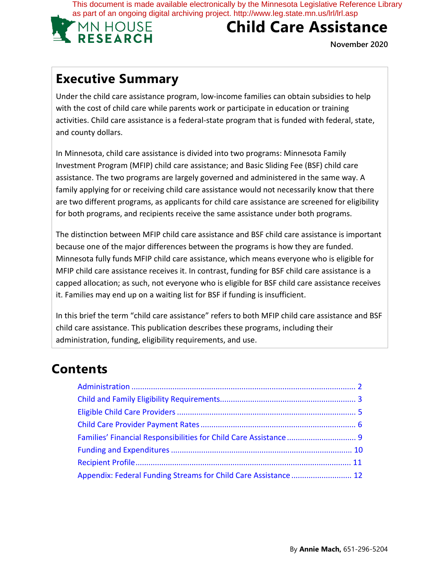This document is made available electronically by the Minnesota Legislative Reference Library as part of an ongoing digital archiving project. http://www.leg.state.mn.us/lrl/lrl.asp



# **Child Care Assistance**

**November 2020**

## **Executive Summary**

Under the child care assistance program, low-income families can obtain subsidies to help with the cost of child care while parents work or participate in education or training activities. Child care assistance is a federal-state program that is funded with federal, state, and county dollars.

In Minnesota, child care assistance is divided into two programs: Minnesota Family Investment Program (MFIP) child care assistance; and Basic Sliding Fee (BSF) child care assistance. The two programs are largely governed and administered in the same way. A family applying for or receiving child care assistance would not necessarily know that there are two different programs, as applicants for child care assistance are screened for eligibility for both programs, and recipients receive the same assistance under both programs.

The distinction between MFIP child care assistance and BSF child care assistance is important because one of the major differences between the programs is how they are funded. Minnesota fully funds MFIP child care assistance, which means everyone who is eligible for MFIP child care assistance receives it. In contrast, funding for BSF child care assistance is a capped allocation; as such, not everyone who is eligible for BSF child care assistance receives it. Families may end up on a waiting list for BSF if funding is insufficient.

In this brief the term "child care assistance" refers to both MFIP child care assistance and BSF child care assistance. This publication describes these programs, including their administration, funding, eligibility requirements, and use.

## **Contents**

| Appendix: Federal Funding Streams for Child Care Assistance  12 |  |
|-----------------------------------------------------------------|--|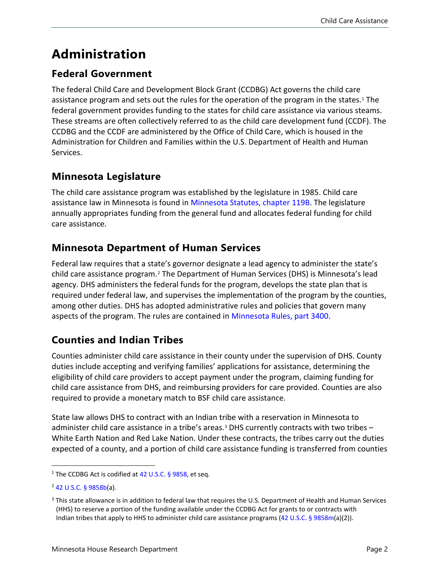# **Administration**

### **Federal Government**

The federal Child Care and Development Block Grant (CCDBG) Act governs the child care assistance program and sets out the rules for the operation of the program in the states.<sup>[1](#page-1-0)</sup> The federal government provides funding to the states for child care assistance via various steams. These streams are often collectively referred to as the child care development fund (CCDF). The CCDBG and the CCDF are administered by the Office of Child Care, which is housed in the Administration for Children and Families within the U.S. Department of Health and Human Services.

## **Minnesota Legislature**

The child care assistance program was established by the legislature in 1985. Child care assistance law in Minnesota is found in [Minnesota Statutes,](https://www.revisor.mn.gov/statutes/cite/119B) chapter 119B. The legislature annually appropriates funding from the general fund and allocates federal funding for child care assistance.

## **Minnesota Department of Human Services**

Federal law requires that a state's governor designate a lead agency to administer the state's child care assistance program.[2](#page-1-1) The Department of Human Services (DHS) is Minnesota's lead agency. DHS administers the federal funds for the program, develops the state plan that is required under federal law, and supervises the implementation of the program by the counties, among other duties. DHS has adopted administrative rules and policies that govern many aspects of the program. The rules are contained in [Minnesota Rules,](https://www.revisor.mn.gov/rules/3400/) part 3400.

## **Counties and Indian Tribes**

Counties administer child care assistance in their county under the supervision of DHS. County duties include accepting and verifying families' applications for assistance, determining the eligibility of child care providers to accept payment under the program, claiming funding for child care assistance from DHS, and reimbursing providers for care provided. Counties are also required to provide a monetary match to BSF child care assistance.

State law allows DHS to contract with an Indian tribe with a reservation in Minnesota to administer child care assistance in a tribe's areas.<sup>[3](#page-1-2)</sup> DHS currently contracts with two tribes  $-$ White Earth Nation and Red Lake Nation. Under these contracts, the tribes carry out the duties expected of a county, and a portion of child care assistance funding is transferred from counties

<span id="page-1-0"></span><sup>&</sup>lt;sup>1</sup> The CCDBG Act is codified at [42 U.S.C.](https://www.law.cornell.edu/uscode/text/42/9858) § 9858, et seq.

<span id="page-1-1"></span> $2$  [42 U.S.C. § 9858b\(](https://www.law.cornell.edu/uscode/text/42/9858b)a).

<span id="page-1-2"></span><sup>&</sup>lt;sup>3</sup> This state allowance is in addition to federal law that requires the U.S. Department of Health and Human Services (HHS) to reserve a portion of the funding available under the CCDBG Act for grants to or contracts with Indian tribes that apply to HHS to administer child care assistance programs [\(42 U.S.C. § 9858m](https://www.law.cornell.edu/uscode/text/42/9858m)(a)(2)).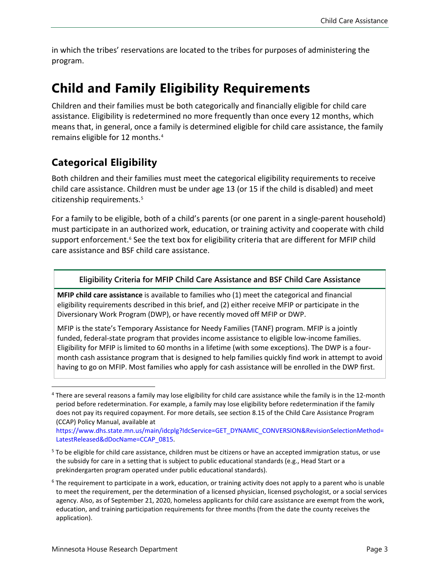in which the tribes' reservations are located to the tribes for purposes of administering the program.

## **Child and Family Eligibility Requirements**

Children and their families must be both categorically and financially eligible for child care assistance. Eligibility is redetermined no more frequently than once every 12 months, which means that, in general, once a family is determined eligible for child care assistance, the family remains eligible for 12 months.[4](#page-2-0)

## **Categorical Eligibility**

Both children and their families must meet the categorical eligibility requirements to receive child care assistance. Children must be under age 13 (or 15 if the child is disabled) and meet citizenship requirements.<sup>[5](#page-2-1)</sup>

For a family to be eligible, both of a child's parents (or one parent in a single-parent household) must participate in an authorized work, education, or training activity and cooperate with child support enforcement.<sup>[6](#page-2-2)</sup> See the text box for eligibility criteria that are different for MFIP child care assistance and BSF child care assistance.

#### **Eligibility Criteria for MFIP Child Care Assistance and BSF Child Care Assistance**

**MFIP child care assistance** is available to families who (1) meet the categorical and financial eligibility requirements described in this brief, and (2) either receive MFIP or participate in the Diversionary Work Program (DWP), or have recently moved off MFIP or DWP.

MFIP is the state's Temporary Assistance for Needy Families (TANF) program. MFIP is a jointly funded, federal-state program that provides income assistance to eligible low-income families. Eligibility for MFIP is limited to 60 months in a lifetime (with some exceptions). The DWP is a fourmonth cash assistance program that is designed to help families quickly find work in attempt to avoid having to go on MFIP. Most families who apply for cash assistance will be enrolled in the DWP first.

<span id="page-2-0"></span> $4$  There are several reasons a family may lose eligibility for child care assistance while the family is in the 12-month period before redetermination. For example, a family may lose eligibility before redetermination if the family does not pay its required copayment. For more details, see section 8.15 of the Child Care Assistance Program (CCAP) Policy Manual, available at

https://www.dhs.state.mn.us/main/idcplg?IdcService=GET\_DYNAMIC\_CONVERSION&RevisionSelectionMethod= LatestReleased&dDocName=CCAP\_0815.

<span id="page-2-1"></span><sup>&</sup>lt;sup>5</sup> To be eligible for child care assistance, children must be citizens or have an accepted immigration status, or use the subsidy for care in a setting that is subject to public educational standards (e.g., Head Start or a prekindergarten program operated under public educational standards).

<span id="page-2-2"></span> $6$  The requirement to participate in a work, education, or training activity does not apply to a parent who is unable to meet the requirement, per the determination of a licensed physician, licensed psychologist, or a social services agency. Also, as of September 21, 2020, homeless applicants for child care assistance are exempt from the work, education, and training participation requirements for three months (from the date the county receives the application).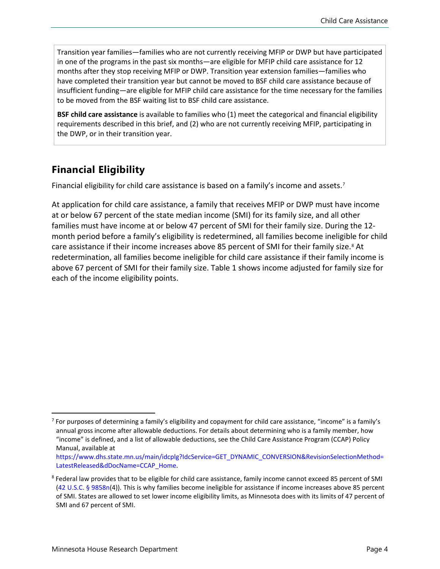Transition year families—families who are not currently receiving MFIP or DWP but have participated in one of the programs in the past six months—are eligible for MFIP child care assistance for 12 months after they stop receiving MFIP or DWP. Transition year extension families—families who have completed their transition year but cannot be moved to BSF child care assistance because of insufficient funding—are eligible for MFIP child care assistance for the time necessary for the families to be moved from the BSF waiting list to BSF child care assistance.

**BSF child care assistance** is available to families who (1) meet the categorical and financial eligibility requirements described in this brief, and (2) who are not currently receiving MFIP, participating in the DWP, or in their transition year.

## **Financial Eligibility**

Financial eligibility for child care assistance is based on a family's income and assets.<sup>[7](#page-3-0)</sup>

At application for child care assistance, a family that receives MFIP or DWP must have income at or below 67 percent of the state median income (SMI) for its family size, and all other families must have income at or below 47 percent of SMI for their family size. During the 12 month period before a family's eligibility is redetermined, all families become ineligible for child care assistance if their income increases above [8](#page-3-1)5 percent of SMI for their family size.<sup>8</sup> At redetermination, all families become ineligible for child care assistance if their family income is above 67 percent of SMI for their family size. Table 1 shows income adjusted for family size for each of the income eligibility points.

<span id="page-3-0"></span> $<sup>7</sup>$  For purposes of determining a family's eligibility and copayment for child care assistance, "income" is a family's</sup> annual gross income after allowable deductions. For details about determining who is a family member, how "income" is defined, and a list of allowable deductions, see the Child Care Assistance Program (CCAP) Policy Manual, available at

https://www.dhs.state.mn.us/main/idcplg?IdcService=GET\_DYNAMIC\_CONVERSION&RevisionSelectionMethod= LatestReleased&dDocName=CCAP\_Home.

<span id="page-3-1"></span><sup>&</sup>lt;sup>8</sup> Federal law provides that to be eligible for child care assistance, family income cannot exceed 85 percent of SMI [\(42 U.S.C. § 9858n\(4\)\)](https://www.law.cornell.edu/uscode/text/42/9858n). This is why families become ineligible for assistance if income increases above 85 percent of SMI. States are allowed to set lower income eligibility limits, as Minnesota does with its limits of 47 percent of SMI and 67 percent of SMI.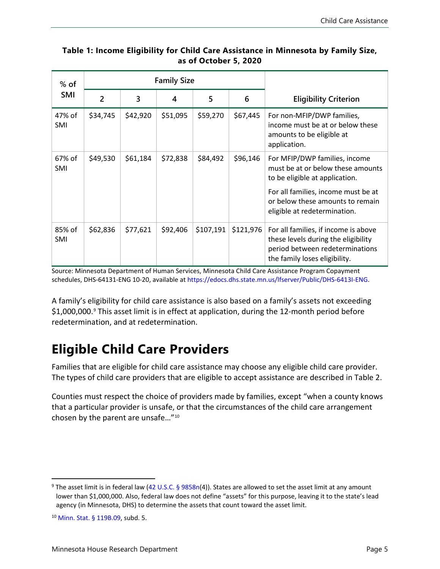| $%$ of               | <b>Family Size</b> |          |          |           |           |                                                                                                                                                                                                                 |
|----------------------|--------------------|----------|----------|-----------|-----------|-----------------------------------------------------------------------------------------------------------------------------------------------------------------------------------------------------------------|
| <b>SMI</b>           | $\overline{2}$     | 3        | 4        | 5         | 6         | <b>Eligibility Criterion</b>                                                                                                                                                                                    |
| 47% of<br>SMI        | \$34,745           | \$42,920 | \$51,095 | \$59,270  | \$67,445  | For non-MFIP/DWP families,<br>income must be at or below these<br>amounts to be eligible at<br>application.                                                                                                     |
| 67% of<br><b>SMI</b> | \$49,530           | \$61,184 | \$72,838 | \$84,492  | \$96,146  | For MFIP/DWP families, income<br>must be at or below these amounts<br>to be eligible at application.<br>For all families, income must be at<br>or below these amounts to remain<br>eligible at redetermination. |
| 85% of<br>SMI        | \$62,836           | \$77,621 | \$92,406 | \$107,191 | \$121,976 | For all families, if income is above<br>these levels during the eligibility<br>period between redeterminations<br>the family loses eligibility.                                                                 |

### **Table 1: Income Eligibility for Child Care Assistance in Minnesota by Family Size, as of October 5, 2020**

Source: Minnesota Department of Human Services, Minnesota Child Care Assistance Program Copayment schedules, DHS-64131-ENG 10-20, available at https://edocs.dhs.state.mn.us/lfserver/Public/DHS-6413I-ENG.

A family's eligibility for child care assistance is also based on a family's assets not exceeding \$1,000,000. [9](#page-4-0) This asset limit is in effect at application, during the 12-month period before redetermination, and at redetermination.

# **Eligible Child Care Providers**

Families that are eligible for child care assistance may choose any eligible child care provider. The types of child care providers that are eligible to accept assistance are described in Table 2.

Counties must respect the choice of providers made by families, except "when a county knows that a particular provider is unsafe, or that the circumstances of the child care arrangement chosen by the parent are unsafe…"[10](#page-4-1)

<span id="page-4-0"></span><sup>9</sup> The asset limit is in federal law (42 U.S.C. [§ 9858n\(4\)\)](https://www.law.cornell.edu/uscode/text/42/9858n). States are allowed to set the asset limit at any amount lower than \$1,000,000. Also, federal law does not define "assets" for this purpose, leaving it to the state's lead agency (in Minnesota, DHS) to determine the assets that count toward the asset limit.

<span id="page-4-1"></span><sup>10</sup> [Minn. Stat. § 119B.09,](https://www.revisor.mn.gov/statutes/cite/119B.09) subd. 5.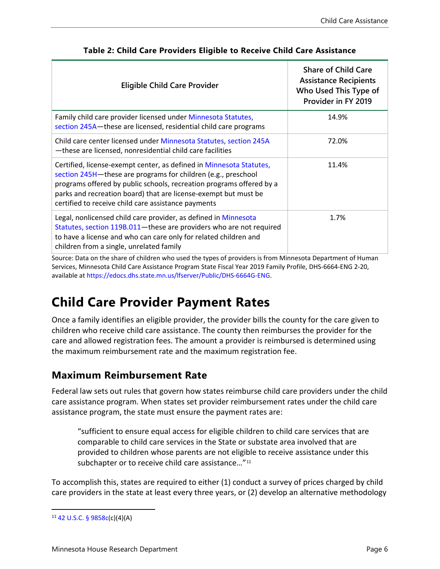| <b>Eligible Child Care Provider</b>                                                                                                                                                                                                                                                                                                    | <b>Share of Child Care</b><br><b>Assistance Recipients</b><br>Who Used This Type of<br>Provider in FY 2019 |
|----------------------------------------------------------------------------------------------------------------------------------------------------------------------------------------------------------------------------------------------------------------------------------------------------------------------------------------|------------------------------------------------------------------------------------------------------------|
| Family child care provider licensed under Minnesota Statutes,<br>section 245A-these are licensed, residential child care programs                                                                                                                                                                                                      | 14.9%                                                                                                      |
| Child care center licensed under Minnesota Statutes, section 245A<br>-these are licensed, nonresidential child care facilities                                                                                                                                                                                                         | 72.0%                                                                                                      |
| Certified, license-exempt center, as defined in Minnesota Statutes,<br>section 245H-these are programs for children (e.g., preschool<br>programs offered by public schools, recreation programs offered by a<br>parks and recreation board) that are license-exempt but must be<br>certified to receive child care assistance payments | 11.4%                                                                                                      |
| Legal, nonlicensed child care provider, as defined in Minnesota<br>Statutes, section 119B.011-these are providers who are not required<br>to have a license and who can care only for related children and<br>children from a single, unrelated family                                                                                 | 1.7%                                                                                                       |

#### **Table 2: Child Care Providers Eligible to Receive Child Care Assistance**

Source: Data on the share of children who used the types of providers is from Minnesota Department of Human Services, Minnesota Child Care Assistance Program State Fiscal Year 2019 Family Profile, DHS-6664-ENG 2-20, available at https://edocs.dhs.state.mn.us/lfserver/Public/DHS-6664G-ENG.

## **Child Care Provider Payment Rates**

Once a family identifies an eligible provider, the provider bills the county for the care given to children who receive child care assistance. The county then reimburses the provider for the care and allowed registration fees. The amount a provider is reimbursed is determined using the maximum reimbursement rate and the maximum registration fee.

### **Maximum Reimbursement Rate**

Federal law sets out rules that govern how states reimburse child care providers under the child care assistance program. When states set provider reimbursement rates under the child care assistance program, the state must ensure the payment rates are:

"sufficient to ensure equal access for eligible children to child care services that are comparable to child care services in the State or substate area involved that are provided to children whose parents are not eligible to receive assistance under this subchapter or to receive child care assistance..."<sup>[11](#page-5-0)</sup>

To accomplish this, states are required to either (1) conduct a survey of prices charged by child care providers in the state at least every three years, or (2) develop an alternative methodology

<span id="page-5-0"></span> $11$  42 U.S.C. [§ 9858c\(c\)\(4\)\(A\)](https://www.law.cornell.edu/uscode/text/42/9858c)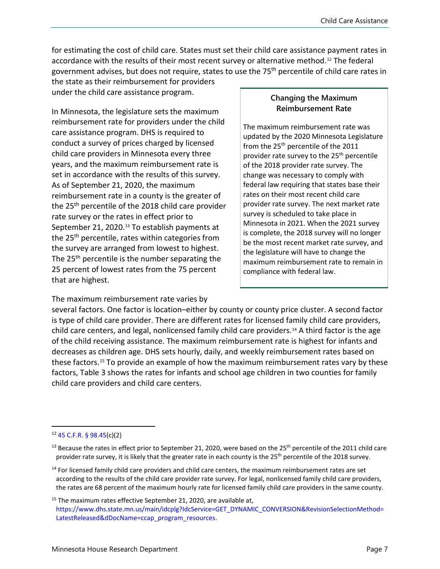for estimating the cost of child care. States must set their child care assistance payment rates in accordance with the results of their most recent survey or alternative method.<sup>[12](#page-6-0)</sup> The federal government advises, but does not require, states to use the 75<sup>th</sup> percentile of child care rates in

the state as their reimbursement for providers under the child care assistance program.

In Minnesota, the legislature sets the maximum reimbursement rate for providers under the child care assistance program. DHS is required to conduct a survey of prices charged by licensed child care providers in Minnesota every three years, and the maximum reimbursement rate is set in accordance with the results of this survey. As of September 21, 2020, the maximum reimbursement rate in a county is the greater of the 25<sup>th</sup> percentile of the 2018 child care provider rate survey or the rates in effect prior to September 21, 2020.<sup>[13](#page-6-1)</sup> To establish payments at the 25<sup>th</sup> percentile, rates within categories from the survey are arranged from lowest to highest. The 25<sup>th</sup> percentile is the number separating the 25 percent of lowest rates from the 75 percent that are highest.

#### **Changing the Maximum Reimbursement Rate**

The maximum reimbursement rate was updated by the 2020 Minnesota Legislature from the 25<sup>th</sup> percentile of the 2011 provider rate survey to the 25<sup>th</sup> percentile of the 2018 provider rate survey. The change was necessary to comply with federal law requiring that states base their rates on their most recent child care provider rate survey. The next market rate survey is scheduled to take place in Minnesota in 2021. When the 2021 survey is complete, the 2018 survey will no longer be the most recent market rate survey, and the legislature will have to change the maximum reimbursement rate to remain in compliance with federal law.

The maximum reimbursement rate varies by

several factors. One factor is location–either by county or county price cluster. A second factor is type of child care provider. There are different rates for licensed family child care providers, child care centers, and legal, nonlicensed family child care providers. [14](#page-6-2) A third factor is the age of the child receiving assistance. The maximum reimbursement rate is highest for infants and decreases as children age. DHS sets hourly, daily, and weekly reimbursement rates based on these factors.[15](#page-6-3) To provide an example of how the maximum reimbursement rates vary by these factors, Table 3 shows the rates for infants and school age children in two counties for family child care providers and child care centers.

<span id="page-6-0"></span><sup>12</sup> 45 C.F.R. [§ 98.45\(c\)\(2\)](https://www.law.cornell.edu/cfr/text/45/98.45) 

<span id="page-6-1"></span><sup>&</sup>lt;sup>13</sup> Because the rates in effect prior to September 21, 2020, were based on the 25<sup>th</sup> percentile of the 2011 child care provider rate survey, it is likely that the greater rate in each county is the 25<sup>th</sup> percentile of the 2018 survey.

<span id="page-6-2"></span><sup>&</sup>lt;sup>14</sup> For licensed family child care providers and child care centers, the maximum reimbursement rates are set according to the results of the child care provider rate survey. For legal, nonlicensed family child care providers, the rates are 68 percent of the maximum hourly rate for licensed family child care providers in the same county.

<span id="page-6-3"></span> $15$  The maximum rates effective September 21, 2020, are available at, https://www.dhs.state.mn.us/main/idcplg?IdcService=GET\_DYNAMIC\_CONVERSION&RevisionSelectionMethod= LatestReleased&dDocName=ccap\_program\_resources.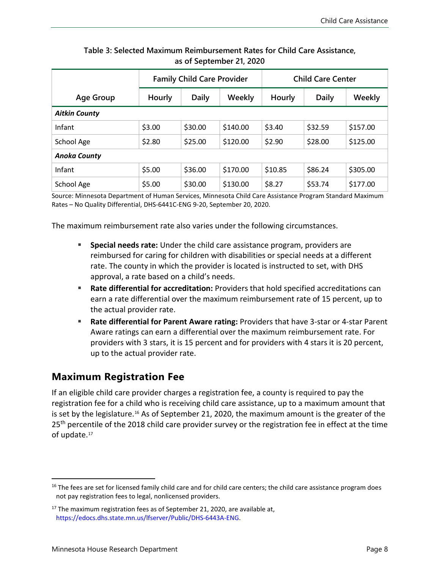|                      | <b>Family Child Care Provider</b> |              |          | <b>Child Care Center</b> |              |          |  |
|----------------------|-----------------------------------|--------------|----------|--------------------------|--------------|----------|--|
| <b>Age Group</b>     | Hourly                            | <b>Daily</b> | Weekly   | Hourly                   | <b>Daily</b> | Weekly   |  |
| <b>Aitkin County</b> |                                   |              |          |                          |              |          |  |
| Infant               | \$3.00                            | \$30.00      | \$140.00 | \$3.40                   | \$32.59      | \$157.00 |  |
| School Age           | \$2.80                            | \$25.00      | \$120.00 | \$2.90                   | \$28.00      | \$125.00 |  |
| <b>Anoka County</b>  |                                   |              |          |                          |              |          |  |
| Infant               | \$5.00                            | \$36.00      | \$170.00 | \$10.85                  | \$86.24      | \$305.00 |  |
| School Age           | \$5.00                            | \$30.00      | \$130.00 | \$8.27                   | \$53.74      | \$177.00 |  |

#### **Table 3: Selected Maximum Reimbursement Rates for Child Care Assistance, as of September 21, 2020**

Source: Minnesota Department of Human Services, Minnesota Child Care Assistance Program Standard Maximum Rates – No Quality Differential, DHS-6441C-ENG 9-20, September 20, 2020.

The maximum reimbursement rate also varies under the following circumstances.

- **Special needs rate:** Under the child care assistance program, providers are reimbursed for caring for children with disabilities or special needs at a different rate. The county in which the provider is located is instructed to set, with DHS approval, a rate based on a child's needs.
- **Rate differential for accreditation:** Providers that hold specified accreditations can earn a rate differential over the maximum reimbursement rate of 15 percent, up to the actual provider rate.
- **Rate differential for Parent Aware rating:** Providers that have 3-star or 4-star Parent Aware ratings can earn a differential over the maximum reimbursement rate. For providers with 3 stars, it is 15 percent and for providers with 4 stars it is 20 percent, up to the actual provider rate.

### **Maximum Registration Fee**

If an eligible child care provider charges a registration fee, a county is required to pay the registration fee for a child who is receiving child care assistance, up to a maximum amount that is set by the legislature.<sup>[16](#page-7-0)</sup> As of September 21, 2020, the maximum amount is the greater of the 25<sup>th</sup> percentile of the 2018 child care provider survey or the registration fee in effect at the time of update.<sup>[17](#page-7-1)</sup>

<span id="page-7-0"></span><sup>&</sup>lt;sup>16</sup> The fees are set for licensed family child care and for child care centers; the child care assistance program does not pay registration fees to legal, nonlicensed providers.

<span id="page-7-1"></span><sup>&</sup>lt;sup>17</sup> The maximum registration fees as of September 21, 2020, are available at, https://edocs.dhs.state.mn.us/lfserver/Public/DHS-6443A-ENG.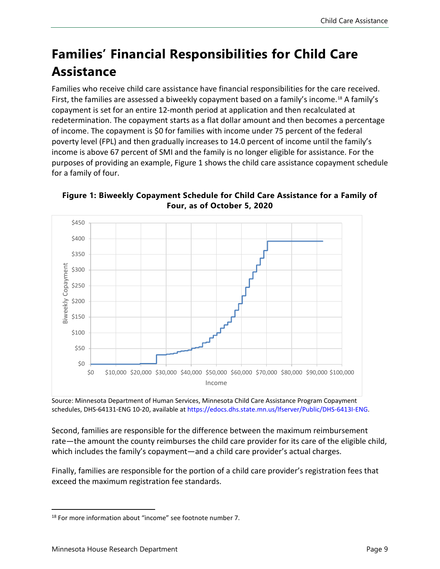# **Families' Financial Responsibilities for Child Care Assistance**

Families who receive child care assistance have financial responsibilities for the care received. First, the families are assessed a biweekly copayment based on a family's income. [18](#page-8-0) A family's copayment is set for an entire 12-month period at application and then recalculated at redetermination. The copayment starts as a flat dollar amount and then becomes a percentage of income. The copayment is \$0 for families with income under 75 percent of the federal poverty level (FPL) and then gradually increases to 14.0 percent of income until the family's income is above 67 percent of SMI and the family is no longer eligible for assistance. For the purposes of providing an example, Figure 1 shows the child care assistance copayment schedule for a family of four.



**Figure 1: Biweekly Copayment Schedule for Child Care Assistance for a Family of Four, as of October 5, 2020**

Source: Minnesota Department of Human Services, Minnesota Child Care Assistance Program Copayment schedules, DHS-64131-ENG 10-20, available at https://edocs.dhs.state.mn.us/lfserver/Public/DHS-6413I-ENG.

Second, families are responsible for the difference between the maximum reimbursement rate—the amount the county reimburses the child care provider for its care of the eligible child, which includes the family's copayment—and a child care provider's actual charges.

Finally, families are responsible for the portion of a child care provider's registration fees that exceed the maximum registration fee standards.

<span id="page-8-0"></span><sup>&</sup>lt;sup>18</sup> For more information about "income" see footnote number 7.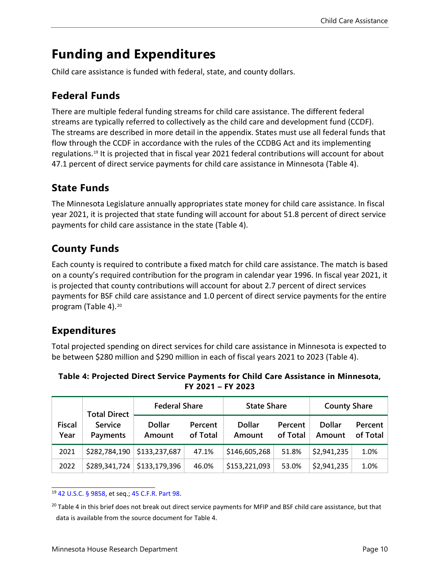## **Funding and Expenditures**

Child care assistance is funded with federal, state, and county dollars.

## **Federal Funds**

There are multiple federal funding streams for child care assistance. The different federal streams are typically referred to collectively as the child care and development fund (CCDF). The streams are described in more detail in the appendix. States must use all federal funds that flow through the CCDF in accordance with the rules of the CCDBG Act and its implementing regulations.[19](#page-9-0) It is projected that in fiscal year 2021 federal contributions will account for about 47.1 percent of direct service payments for child care assistance in Minnesota (Table 4).

### **State Funds**

The Minnesota Legislature annually appropriates state money for child care assistance. In fiscal year 2021, it is projected that state funding will account for about 51.8 percent of direct service payments for child care assistance in the state (Table 4).

## **County Funds**

Each county is required to contribute a fixed match for child care assistance. The match is based on a county's required contribution for the program in calendar year 1996. In fiscal year 2021, it is projected that county contributions will account for about 2.7 percent of direct services payments for BSF child care assistance and 1.0 percent of direct service payments for the entire program (Table 4).[20](#page-9-1)

## **Expenditures**

Total projected spending on direct services for child care assistance in Minnesota is expected to be between \$280 million and \$290 million in each of fiscal years 2021 to 2023 (Table 4).

**Table 4: Projected Direct Service Payments for Child Care Assistance in Minnesota, FY 2021 – FY 2023**

|                       | <b>Total Direct</b>        |                         | <b>Federal Share</b> |                         | <b>State Share</b>  |                         | <b>County Share</b> |  |
|-----------------------|----------------------------|-------------------------|----------------------|-------------------------|---------------------|-------------------------|---------------------|--|
| <b>Fiscal</b><br>Year | <b>Service</b><br>Payments | <b>Dollar</b><br>Amount | Percent<br>of Total  | <b>Dollar</b><br>Amount | Percent<br>of Total | <b>Dollar</b><br>Amount | Percent<br>of Total |  |
| 2021                  | \$282,784,190              | \$133,237,687           | 47.1%                | \$146,605,268           | 51.8%               | \$2,941,235             | 1.0%                |  |
| 2022                  | \$289,341,724              | \$133,179,396           | 46.0%                | \$153,221,093           | 53.0%               | \$2,941,235             | 1.0%                |  |

<span id="page-9-0"></span><sup>19</sup> [42 U.S.C.](https://www.law.cornell.edu/uscode/text/42/9858) § 9858, et seq.; [45 C.F.R. Part 98.](https://www.law.cornell.edu/cfr/text/45/part-98)

<span id="page-9-1"></span><sup>&</sup>lt;sup>20</sup> Table 4 in this brief does not break out direct service payments for MFIP and BSF child care assistance, but that data is available from the source document for Table 4.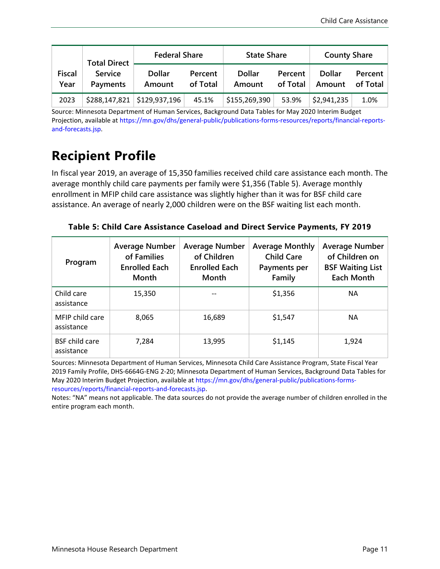|                       | <b>Total Direct</b>        | <b>Federal Share</b>    |                     | <b>State Share</b>      |                     | <b>County Share</b>     |                     |
|-----------------------|----------------------------|-------------------------|---------------------|-------------------------|---------------------|-------------------------|---------------------|
| <b>Fiscal</b><br>Year | <b>Service</b><br>Payments | <b>Dollar</b><br>Amount | Percent<br>of Total | <b>Dollar</b><br>Amount | Percent<br>of Total | <b>Dollar</b><br>Amount | Percent<br>of Total |
| 2023                  | \$288,147,821              | \$129,937,196           | 45.1%               | \$155,269,390           | 53.9%               | \$2,941,235             | 1.0%                |

Source: Minnesota Department of Human Services, Background Data Tables for May 2020 Interim Budget Projection, available at https://mn.gov/dhs/general-public/publications-forms-resources/reports/financial-reportsand-forecasts.jsp.

# **Recipient Profile**

In fiscal year 2019, an average of 15,350 families received child care assistance each month. The average monthly child care payments per family were \$1,356 (Table 5). Average monthly enrollment in MFIP child care assistance was slightly higher than it was for BSF child care assistance. An average of nearly 2,000 children were on the BSF waiting list each month.

| Table 5: Child Care Assistance Caseload and Direct Service Payments, FY 2019 |  |  |  |
|------------------------------------------------------------------------------|--|--|--|
|                                                                              |  |  |  |

| Program                             | <b>Average Number</b><br>of Families<br><b>Enrolled Each</b><br><b>Month</b> | <b>Average Number</b><br>of Children<br><b>Enrolled Each</b><br>Month | <b>Average Monthly</b><br><b>Child Care</b><br>Payments per<br>Family | <b>Average Number</b><br>of Children on<br><b>BSF Waiting List</b><br><b>Each Month</b> |
|-------------------------------------|------------------------------------------------------------------------------|-----------------------------------------------------------------------|-----------------------------------------------------------------------|-----------------------------------------------------------------------------------------|
| Child care<br>assistance            | 15,350                                                                       |                                                                       | \$1,356                                                               | <b>NA</b>                                                                               |
| MFIP child care<br>assistance       | 8,065                                                                        | 16,689                                                                | \$1,547                                                               | <b>NA</b>                                                                               |
| <b>BSF</b> child care<br>assistance | 7.284                                                                        | 13.995                                                                | \$1,145                                                               | 1.924                                                                                   |

Sources: Minnesota Department of Human Services, Minnesota Child Care Assistance Program, State Fiscal Year 2019 Family Profile, DHS-6664G-ENG 2-20; Minnesota Department of Human Services, Background Data Tables for May 2020 Interim Budget Projection, available at https://mn.gov/dhs/general-public/publications-formsresources/reports/financial-reports-and-forecasts.jsp.

Notes: "NA" means not applicable. The data sources do not provide the average number of children enrolled in the entire program each month.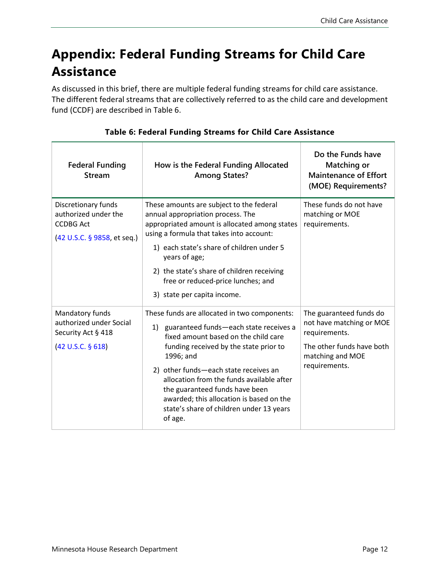# **Appendix: Federal Funding Streams for Child Care Assistance**

As discussed in this brief, there are multiple federal funding streams for child care assistance. The different federal streams that are collectively referred to as the child care and development fund (CCDF) are described in Table 6.

| <b>Federal Funding</b><br><b>Stream</b>                                                        | How is the Federal Funding Allocated<br><b>Among States?</b>                                                                                                                                                                                                                                                                                                                                                        | Do the Funds have<br><b>Matching or</b><br><b>Maintenance of Effort</b><br>(MOE) Requirements?                                         |
|------------------------------------------------------------------------------------------------|---------------------------------------------------------------------------------------------------------------------------------------------------------------------------------------------------------------------------------------------------------------------------------------------------------------------------------------------------------------------------------------------------------------------|----------------------------------------------------------------------------------------------------------------------------------------|
| Discretionary funds<br>authorized under the<br><b>CCDBG Act</b><br>(42 U.S.C. § 9858, et seq.) | These amounts are subject to the federal<br>annual appropriation process. The<br>appropriated amount is allocated among states<br>using a formula that takes into account:<br>1) each state's share of children under 5<br>years of age;<br>2) the state's share of children receiving<br>free or reduced-price lunches; and<br>3) state per capita income.                                                         | These funds do not have<br>matching or MOE<br>requirements.                                                                            |
| Mandatory funds<br>authorized under Social<br>Security Act § 418<br>(42 U.S.C. § 618)          | These funds are allocated in two components:<br>1) guaranteed funds-each state receives a<br>fixed amount based on the child care<br>funding received by the state prior to<br>1996; and<br>2) other funds-each state receives an<br>allocation from the funds available after<br>the guaranteed funds have been<br>awarded; this allocation is based on the<br>state's share of children under 13 years<br>of age. | The guaranteed funds do<br>not have matching or MOE<br>requirements.<br>The other funds have both<br>matching and MOE<br>requirements. |

### **Table 6: Federal Funding Streams for Child Care Assistance**